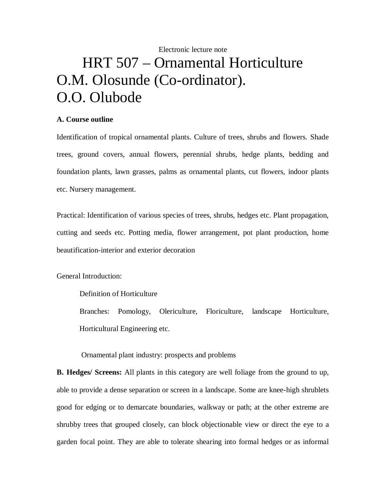# Electronic lecture note HRT 507 – Ornamental Horticulture O.M. Olosunde (Co-ordinator). O.O. Olubode

### **A. Course outline**

Identification of tropical ornamental plants. Culture of trees, shrubs and flowers. Shade trees, ground covers, annual flowers, perennial shrubs, hedge plants, bedding and foundation plants, lawn grasses, palms as ornamental plants, cut flowers, indoor plants etc. Nursery management.

Practical: Identification of various species of trees, shrubs, hedges etc. Plant propagation, cutting and seeds etc. Potting media, flower arrangement, pot plant production, home beautification-interior and exterior decoration

General Introduction:

Definition of Horticulture

 Branches: Pomology, Olericulture, Floriculture, landscape Horticulture, Horticultural Engineering etc.

Ornamental plant industry: prospects and problems

**B. Hedges/ Screens:** All plants in this category are well foliage from the ground to up, able to provide a dense separation or screen in a landscape. Some are knee-high shrublets good for edging or to demarcate boundaries, walkway or path; at the other extreme are shrubby trees that grouped closely, can block objectionable view or direct the eye to a garden focal point. They are able to tolerate shearing into formal hedges or as informal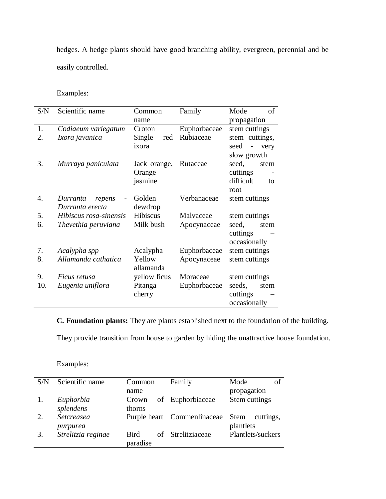hedges. A hedge plants should have good branching ability, evergreen, perennial and be easily controlled.

Examples:

| S/N | Scientific name        | Common        | Family       | of<br>Mode      |
|-----|------------------------|---------------|--------------|-----------------|
|     |                        | name          |              | propagation     |
| 1.  | Codiaeum variegatum    | Croton        | Euphorbaceae | stem cuttings   |
| 2.  | Ixora javanica         | Single<br>red | Rubiaceae    | stem cuttings,  |
|     |                        | ixora         |              | seed<br>very    |
|     |                        |               |              | slow growth     |
| 3.  | Murraya paniculata     | Jack orange,  | Rutaceae     | seed,<br>stem   |
|     |                        | Orange        |              | cuttings        |
|     |                        | jasmine       |              | difficult<br>to |
|     |                        |               |              | root            |
| 4.  | Durranta<br>repens     | Golden        | Verbanaceae  | stem cuttings   |
|     | Durranta erecta        | dewdrop       |              |                 |
| 5.  | Hibiscus rosa-sinensis | Hibiscus      | Malvaceae    | stem cuttings   |
| 6.  | Thevethia peruviana    | Milk bush     | Apocynaceae  | seed,<br>stem   |
|     |                        |               |              | cuttings        |
|     |                        |               |              | occasionally    |
| 7.  | Acalypha spp           | Acalypha      | Euphorbaceae | stem cuttings   |
| 8.  | Allamanda cathatica    | Yellow        | Apocynaceae  | stem cuttings   |
|     |                        | allamanda     |              |                 |
| 9.  | Ficus retusa           | yellow ficus  | Moraceae     | stem cuttings   |
| 10. | Eugenia uniflora       | Pitanga       | Euphorbaceae | seeds,<br>stem  |
|     |                        | cherry        |              | cuttings        |
|     |                        |               |              | occasionally    |

**C. Foundation plants:** They are plants established next to the foundation of the building.

They provide transition from house to garden by hiding the unattractive house foundation.

| S/N | Scientific name    | Common      | Family                      | Mode<br>οt               |
|-----|--------------------|-------------|-----------------------------|--------------------------|
|     |                    | name        |                             | propagation              |
|     | Euphorbia          | Crown       | of Euphorbiaceae            | Stem cuttings            |
|     | splendens          | thorns      |                             |                          |
| 2.  | Setcreasea         |             | Purple heart Commenlinaceae | <b>Stem</b><br>cuttings, |
|     | purpurea           |             |                             | plantlets                |
| 3.  | Strelitzia reginae | <b>Bird</b> | of Strelitziaceae           | Plantlets/suckers        |
|     |                    | paradise    |                             |                          |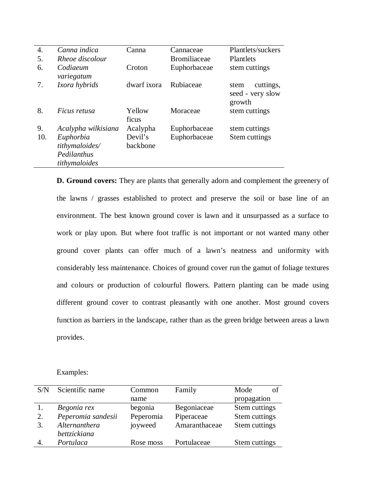| $\overline{4}$ . | Canna indica                                                | Canna               | Cannaceae           | Plantlets/suckers                               |
|------------------|-------------------------------------------------------------|---------------------|---------------------|-------------------------------------------------|
| 5.               | Rheoe discolour                                             |                     | <b>Bromiliaceae</b> | Plantlets                                       |
| 6.               | Codiaeum<br>variegatum                                      | Croton              | Euphorbaceae        | stem cuttings                                   |
| 7.               | Ixora hybrids                                               | dwarf ixora         | Rubiaceae           | cuttings,<br>stem<br>seed - very slow<br>growth |
| 8.               | <i>Ficus retusa</i>                                         | Yellow<br>ficus     | Moraceae            | stem cuttings                                   |
| 9.               | Acalypha wilkisiana                                         | Acalypha            | Euphorbaceae        | stem cuttings                                   |
| 10.              | Euphorbia<br>tithymaloides/<br>Pedilanthus<br>tithymaloides | Devil's<br>backbone | Euphorbaceae        | Stem cuttings                                   |

**D. Ground covers:** They are plants that generally adorn and complement the greenery of the lawns / grasses established to protect and preserve the soil or base line of an environment. The best known ground cover is lawn and it unsurpassed as a surface to work or play upon. But where foot traffic is not important or not wanted many other ground cover plants can offer much of a lawn's neatness and uniformity with considerably less maintenance. Choices of ground cover run the gamut of foliage textures and colours or production of colourful flowers. Pattern planting can be made using different ground cover to contrast pleasantly with one another. Most ground covers function as barriers in the landscape, rather than as the green bridge between areas a lawn provides.

| S/N | Scientific name    | Common    | Family        | Mode<br>οf    |
|-----|--------------------|-----------|---------------|---------------|
|     |                    | name      |               | propagation   |
|     | Begonia rex        | begonia   | Begoniaceae   | Stem cuttings |
| 2.  | Peperomia sandesii | Peperomia | Piperaceae    | Stem cuttings |
| 3.  | Alternanthera      | joyweed   | Amaranthaceae | Stem cuttings |
|     | bettzickiana       |           |               |               |
|     | Portulaca          | Rose moss | Portulaceae   | Stem cuttings |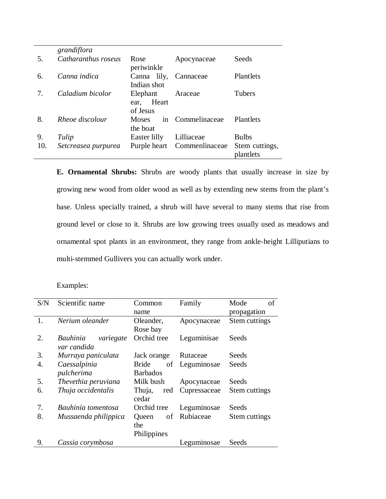|     | grandiflora         |                                       |                  |                             |
|-----|---------------------|---------------------------------------|------------------|-----------------------------|
| .5. | Catharanthus roseus | Rose<br>periwinkle                    | Apocynaceae      | Seeds                       |
| 6.  | Canna indica        | Canna lily,<br>Indian shot            | Cannaceae        | Plantlets                   |
|     | Caladium bicolor    | Elephant<br>Heart<br>ear.<br>of Jesus | Araceae          | Tubers                      |
| 8.  | Rheoe discolour     | <b>Moses</b><br>the boat              | in Commelinaceae | <b>Plantlets</b>            |
| 9.  | Tulip               | Easter lilly                          | Lilliaceae       | <b>Bulbs</b>                |
| 10. | Setcreasea purpurea | Purple heart                          | Commenlinaceae   | Stem cuttings,<br>plantlets |

**E. Ornamental Shrubs:** Shrubs are woody plants that usually increase in size by growing new wood from older wood as well as by extending new stems from the plant's base. Unless specially trained, a shrub will have several to many stems that rise from ground level or close to it. Shrubs are low growing trees usually used as meadows and ornamental spot plants in an environment, they range from ankle-height Lilliputians to multi-stemmed Gullivers you can actually work under.

| S/N | Scientific name                      | Common                 | Family         | Mode<br>of    |
|-----|--------------------------------------|------------------------|----------------|---------------|
|     |                                      | name                   |                | propagation   |
| 1.  | Nerium oleander                      | Oleander,              | Apocynaceae    | Stem cuttings |
|     |                                      | Rose bay               |                |               |
| 2.  | Bauhinia<br>variegate<br>var candida | Orchid tree            | Leguminisae    | Seeds         |
| 3.  | Murraya paniculata                   | Jack orange            | Rutaceae       | Seeds         |
| 4.  | Caessalpinia                         | <b>Bride</b>           | of Leguminosae | Seeds         |
|     | pulcherima                           | <b>Barbados</b>        |                |               |
| 5.  | Thevethia peruviana                  | Milk bush              | Apocynaceae    | Seeds         |
| 6.  | Thuja occidentalis                   | Thuja,<br>red<br>cedar | Cupressaceae   | Stem cuttings |
| 7.  | Bauhinia tomentosa                   | Orchid tree            | Leguminosae    | Seeds         |
| 8.  | Mussaenda philippica                 | Queen                  | of Rubiaceae   | Stem cuttings |
|     |                                      | the                    |                |               |
|     |                                      | Philippines            |                |               |
| 9.  | Cassia corymbosa                     |                        | Leguminosae    | Seeds         |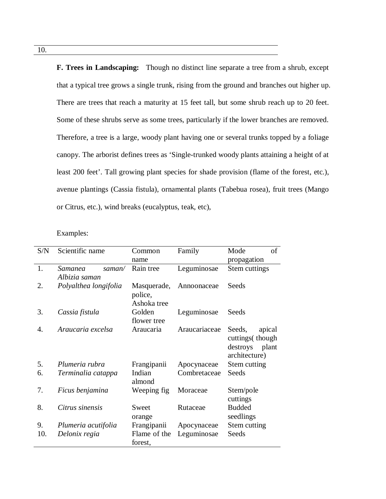**F. Trees in Landscaping:** Though no distinct line separate a tree from a shrub, except that a typical tree grows a single trunk, rising from the ground and branches out higher up. There are trees that reach a maturity at 15 feet tall, but some shrub reach up to 20 feet. Some of these shrubs serve as some trees, particularly if the lower branches are removed. Therefore, a tree is a large, woody plant having one or several trunks topped by a foliage canopy. The arborist defines trees as 'Single-trunked woody plants attaining a height of at least 200 feet'. Tall growing plant species for shade provision (flame of the forest, etc.), avenue plantings (Cassia fistula), ornamental plants (Tabebua rosea), fruit trees (Mango or Citrus, etc.), wind breaks (eucalyptus, teak, etc),

| S/N | Scientific name                    | Common                                | Family        | Mode<br>of                                                                  |
|-----|------------------------------------|---------------------------------------|---------------|-----------------------------------------------------------------------------|
|     |                                    | name                                  |               | propagation                                                                 |
| 1.  | Samanea<br>saman/<br>Albizia saman | Rain tree                             | Leguminosae   | Stem cuttings                                                               |
| 2.  | Polyalthea longifolia              | Masquerade,<br>police,<br>Ashoka tree | Annoonaceae   | Seeds                                                                       |
| 3.  | Cassia fistula                     | Golden<br>flower tree                 | Leguminosae   | Seeds                                                                       |
| 4.  | Araucaria excelsa                  | Araucaria                             | Araucariaceae | Seeds,<br>apical<br>cuttings (though)<br>destroys<br>plant<br>architecture) |
| 5.  | Plumeria rubra                     | Frangipanii                           | Apocynaceae   | Stem cutting                                                                |
| 6.  | Terminalia catappa                 | Indian<br>almond                      | Combretaceae  | Seeds                                                                       |
| 7.  | Ficus benjamina                    | Weeping fig                           | Moraceae      | Stem/pole<br>cuttings                                                       |
| 8.  | Citrus sinensis                    | Sweet<br>orange                       | Rutaceae      | <b>Budded</b><br>seedlings                                                  |
| 9.  | Plumeria acutifolia                | Frangipanii                           | Apocynaceae   | Stem cutting                                                                |
| 10. | Delonix regia                      | Flame of the<br>forest,               | Leguminosae   | Seeds                                                                       |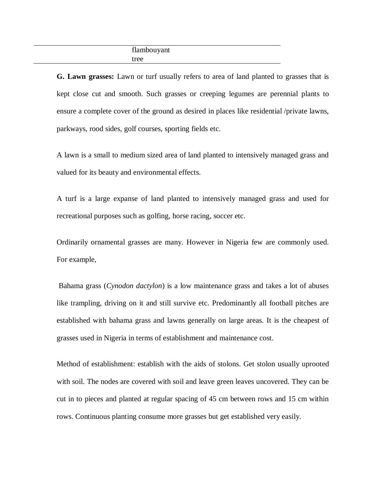## flambouyant tree

**G. Lawn grasses:** Lawn or turf usually refers to area of land planted to grasses that is kept close cut and smooth. Such grasses or creeping legumes are perennial plants to ensure a complete cover of the ground as desired in places like residential /private lawns, parkways, rood sides, golf courses, sporting fields etc.

A lawn is a small to medium sized area of land planted to intensively managed grass and valued for its beauty and environmental effects.

A turf is a large expanse of land planted to intensively managed grass and used for recreational purposes such as golfing, horse racing, soccer etc.

Ordinarily ornamental grasses are many. However in Nigeria few are commonly used. For example,

Bahama grass (*Cynodon dactylon*) is a low maintenance grass and takes a lot of abuses like trampling, driving on it and still survive etc. Predominantly all football pitches are established with bahama grass and lawns generally on large areas. It is the cheapest of grasses used in Nigeria in terms of establishment and maintenance cost.

Method of establishment: establish with the aids of stolons. Get stolon usually uprooted with soil. The nodes are covered with soil and leave green leaves uncovered. They can be cut in to pieces and planted at regular spacing of 45 cm between rows and 15 cm within rows. Continuous planting consume more grasses but get established very easily.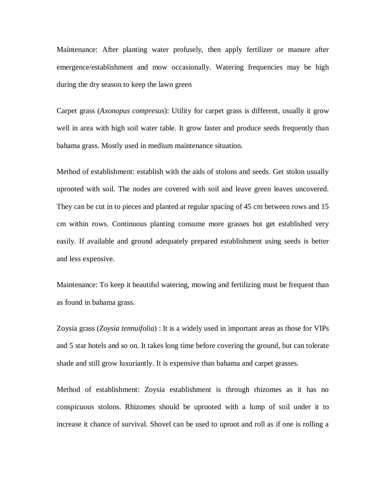Maintenance: After planting water profusely, then apply fertilizer or manure after emergence/establishment and mow occasionally. Watering frequencies may be high during the dry season to keep the lawn green

Carpet grass (*Axonopus compresus*): Utility for carpet grass is different, usually it grow well in area with high soil water table. It grow faster and produce seeds frequently than bahama grass. Mostly used in medium maintenance situation.

Method of establishment: establish with the aids of stolons and seeds. Get stolon usually uprooted with soil. The nodes are covered with soil and leave green leaves uncovered. They can be cut in to pieces and planted at regular spacing of 45 cm between rows and 15 cm within rows. Continuous planting consume more grasses but get established very easily. If available and ground adequately prepared establishment using seeds is better and less expensive.

Maintenance: To keep it beautiful watering, mowing and fertilizing must be frequent than as found in bahama grass.

Zoysia grass (*Zoysia tennuifolia*) : It is a widely used in important areas as those for VIPs and 5 star hotels and so on. It takes long time before covering the ground, but can tolerate shade and still grow luxuriantly. It is expensive than bahama and carpet grasses.

Method of establishment: Zoysia establishment is through rhizomes as it has no conspicuous stolons. Rhizomes should be uprooted with a lump of soil under it to increase it chance of survival. Shovel can be used to uproot and roll as if one is rolling a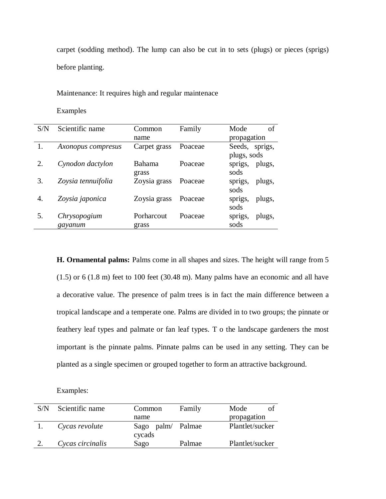carpet (sodding method). The lump can also be cut in to sets (plugs) or pieces (sprigs) before planting.

Maintenance: It requires high and regular maintenace

Examples

| S/N | Scientific name         | Common                 | Family  | Mode<br>of                    |
|-----|-------------------------|------------------------|---------|-------------------------------|
|     |                         | name                   |         | propagation                   |
|     | Axonopus compresus      | Carpet grass           | Poaceae | Seeds, sprigs,<br>plugs, sods |
| 2.  | Cynodon dactylon        | <b>Bahama</b><br>grass | Poaceae | sprigs,<br>plugs,<br>sods     |
| 3.  | Zoysia tennuifolia      | Zoysia grass           | Poaceae | sprigs,<br>plugs,<br>sods     |
| 4.  | Zoysia japonica         | Zoysia grass           | Poaceae | plugs,<br>sprigs,<br>sods     |
| 5.  | Chrysopogium<br>gayanum | Porharcout<br>grass    | Poaceae | sprigs,<br>plugs,<br>sods     |

**H. Ornamental palms:** Palms come in all shapes and sizes. The height will range from 5 (1.5) or 6 (1.8 m) feet to 100 feet (30.48 m). Many palms have an economic and all have a decorative value. The presence of palm trees is in fact the main difference between a tropical landscape and a temperate one. Palms are divided in to two groups; the pinnate or feathery leaf types and palmate or fan leaf types. T o the landscape gardeners the most important is the pinnate palms. Pinnate palms can be used in any setting. They can be planted as a single specimen or grouped together to form an attractive background.

| S/N | Scientific name  | Common                      | Family | Mode            |
|-----|------------------|-----------------------------|--------|-----------------|
|     |                  | name                        |        | propagation     |
|     | Cycas revolute   | Sago palm/ Palmae<br>cycads |        | Plantlet/sucker |
|     | Cycas circinalis | Sago                        | Palmae | Plantlet/sucker |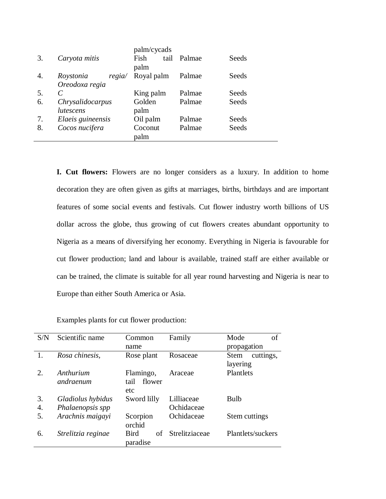|    |                     | palm/cycads  |        |       |
|----|---------------------|--------------|--------|-------|
| 3. | Caryota mitis       | tail<br>Fish | Palmae | Seeds |
|    |                     | palm         |        |       |
| 4. | Roystonia<br>regia/ | Royal palm   | Palmae | Seeds |
|    | Oreodoxa regia      |              |        |       |
| 5. |                     | King palm    | Palmae | Seeds |
| 6. | Chrysalidocarpus    | Golden       | Palmae | Seeds |
|    | lutescens           | palm         |        |       |
| 7. | Elaeis guineensis   | Oil palm     | Palmae | Seeds |
| 8. | Cocos nucifera      | Coconut      | Palmae | Seeds |
|    |                     | palm         |        |       |

**I. Cut flowers:** Flowers are no longer considers as a luxury. In addition to home decoration they are often given as gifts at marriages, births, birthdays and are important features of some social events and festivals. Cut flower industry worth billions of US dollar across the globe, thus growing of cut flowers creates abundant opportunity to Nigeria as a means of diversifying her economy. Everything in Nigeria is favourable for cut flower production; land and labour is available, trained staff are either available or can be trained, the climate is suitable for all year round harvesting and Nigeria is near to Europe than either South America or Asia.

| S/N         | Scientific name    | Common                        | Family         | Mode<br>of        |
|-------------|--------------------|-------------------------------|----------------|-------------------|
|             |                    | name                          |                | propagation       |
|             | Rosa chinesis,     | Rose plant                    | Rosaceae       | cuttings,<br>Stem |
|             |                    |                               |                | layering          |
| $2_{\cdot}$ | Anthurium          | Flamingo,                     | Araceae        | Plantlets         |
|             | andraenum          | tail<br>flower                |                |                   |
|             |                    | etc                           |                |                   |
| 3.          | Gladiolus hybidus  | Sword lilly                   | Lilliaceae     | Bulb              |
| 4.          | Phalaenopsis spp   |                               | Ochidaceae     |                   |
| 5.          | Arachnis maigayi   | Scorpion<br>orchid            | Ochidaceae     | Stem cuttings     |
| 6.          | Strelitzia reginae | <b>Bird</b><br>of<br>paradise | Strelitziaceae | Plantlets/suckers |

Examples plants for cut flower production: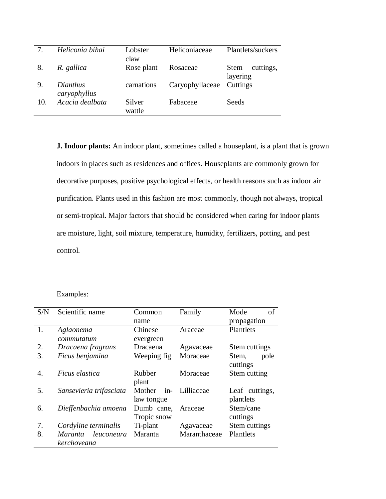| 7.  | Heliconia bihai          | Lobster<br>claw  | Heliconiaceae   | Plantlets/suckers                    |
|-----|--------------------------|------------------|-----------------|--------------------------------------|
| 8.  | R. gallica               | Rose plant       | Rosaceae        | cuttings,<br><b>Stem</b><br>layering |
| 9.  | Dianthus<br>caryophyllus | carnations       | Caryophyllaceae | Cuttings                             |
| 10. | Acacia dealbata          | Silver<br>wattle | Fabaceae        | Seeds                                |

**J. Indoor plants:** An indoor plant, sometimes called a houseplant, is a plant that is grown indoors in places such as residences and offices. Houseplants are commonly grown for decorative purposes, positive psychological effects, or health reasons such as indoor air purification. Plants used in this fashion are most commonly, though not always, tropical or semi-tropical. Major factors that should be considered when caring for indoor plants are moisture, light, soil mixture, temperature, humidity, fertilizers, potting, and pest control.

| S/N | Scientific name                      | Common                        | Family       | of<br>Mode                  |
|-----|--------------------------------------|-------------------------------|--------------|-----------------------------|
|     |                                      | name                          |              | propagation                 |
| 1.  | Aglaonema                            | Chinese                       | Araceae      | Plantlets                   |
|     | commutatum                           | evergreen                     |              |                             |
| 2.  | Dracaena fragrans                    | Dracaena                      | Agavaceae    | Stem cuttings               |
| 3.  | Ficus benjamina                      | Weeping fig.                  | Moraceae     | Stem,<br>pole<br>cuttings   |
| 4.  | <i>Ficus elastica</i>                | Rubber<br>plant               | Moraceae     | Stem cutting                |
| 5.  | Sansevieria trifasciata              | $in-$<br>Mother<br>law tongue | Lilliaceae   | Leaf cuttings,<br>plantlets |
| 6.  | Dieffenbachia amoena                 | Dumb cane,<br>Tropic snow     | Araceae      | Stem/cane<br>cuttings       |
| 7.  | Cordyline terminalis                 | Ti-plant                      | Agavaceae    | Stem cuttings               |
| 8.  | leuconeura<br>Maranta<br>kerchoveana | Maranta                       | Maranthaceae | Plantlets                   |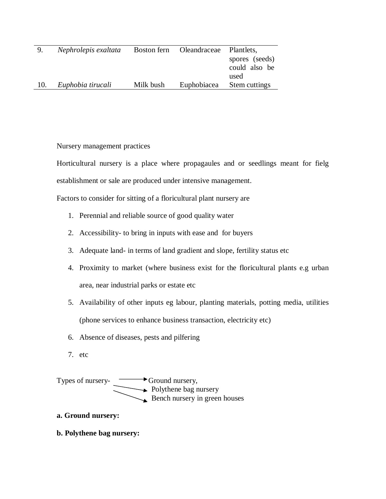| 9.  | Nephrolepis exaltata |           | Boston fern Oleandraceae | Plant lets,    |
|-----|----------------------|-----------|--------------------------|----------------|
|     |                      |           |                          | spores (seeds) |
|     |                      |           |                          | could also be  |
|     |                      |           |                          | used           |
| 10. | Euphobia tirucali    | Milk bush | Euphobiacea              | Stem cuttings  |

Nursery management practices

Horticultural nursery is a place where propagaules and or seedlings meant for fielg establishment or sale are produced under intensive management.

Factors to consider for sitting of a floricultural plant nursery are

- 1. Perennial and reliable source of good quality water
- 2. Accessibility- to bring in inputs with ease and for buyers
- 3. Adequate land- in terms of land gradient and slope, fertility status etc
- 4. Proximity to market (where business exist for the floricultural plants e.g urban area, near industrial parks or estate etc
- 5. Availability of other inputs eg labour, planting materials, potting media, utilities (phone services to enhance business transaction, electricity etc)
- 6. Absence of diseases, pests and pilfering
- 7. etc

Types of nursery- $\longrightarrow$  Ground nursery, Polythene bag nursery Bench nursery in green houses

**a. Ground nursery:**

**b. Polythene bag nursery:**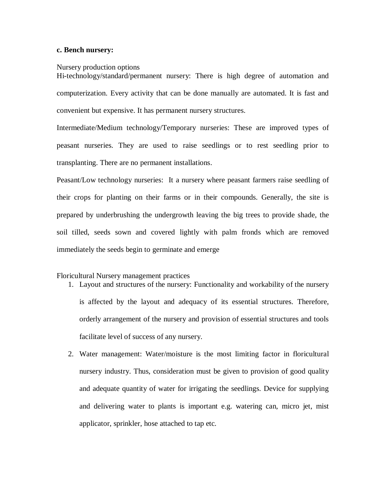#### **c. Bench nursery:**

#### Nursery production options

Hi-technology/standard/permanent nursery: There is high degree of automation and computerization. Every activity that can be done manually are automated. It is fast and convenient but expensive. It has permanent nursery structures.

Intermediate/Medium technology/Temporary nurseries: These are improved types of peasant nurseries. They are used to raise seedlings or to rest seedling prior to transplanting. There are no permanent installations.

Peasant/Low technology nurseries: It a nursery where peasant farmers raise seedling of their crops for planting on their farms or in their compounds. Generally, the site is prepared by underbrushing the undergrowth leaving the big trees to provide shade, the soil tilled, seeds sown and covered lightly with palm fronds which are removed immediately the seeds begin to germinate and emerge

#### Floricultural Nursery management practices

- 1. Layout and structures of the nursery: Functionality and workability of the nursery is affected by the layout and adequacy of its essential structures. Therefore, orderly arrangement of the nursery and provision of essential structures and tools facilitate level of success of any nursery.
- 2. Water management: Water/moisture is the most limiting factor in floricultural nursery industry. Thus, consideration must be given to provision of good quality and adequate quantity of water for irrigating the seedlings. Device for supplying and delivering water to plants is important e.g. watering can, micro jet, mist applicator, sprinkler, hose attached to tap etc.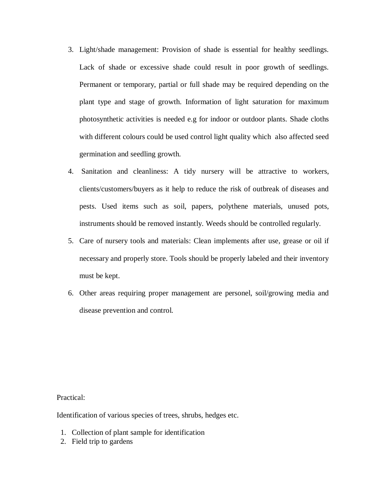- 3. Light/shade management: Provision of shade is essential for healthy seedlings. Lack of shade or excessive shade could result in poor growth of seedlings. Permanent or temporary, partial or full shade may be required depending on the plant type and stage of growth. Information of light saturation for maximum photosynthetic activities is needed e.g for indoor or outdoor plants. Shade cloths with different colours could be used control light quality which also affected seed germination and seedling growth.
- 4. Sanitation and cleanliness: A tidy nursery will be attractive to workers, clients/customers/buyers as it help to reduce the risk of outbreak of diseases and pests. Used items such as soil, papers, polythene materials, unused pots, instruments should be removed instantly. Weeds should be controlled regularly.
- 5. Care of nursery tools and materials: Clean implements after use, grease or oil if necessary and properly store. Tools should be properly labeled and their inventory must be kept.
- 6. Other areas requiring proper management are personel, soil/growing media and disease prevention and control.

Practical:

Identification of various species of trees, shrubs, hedges etc.

- 1. Collection of plant sample for identification
- 2. Field trip to gardens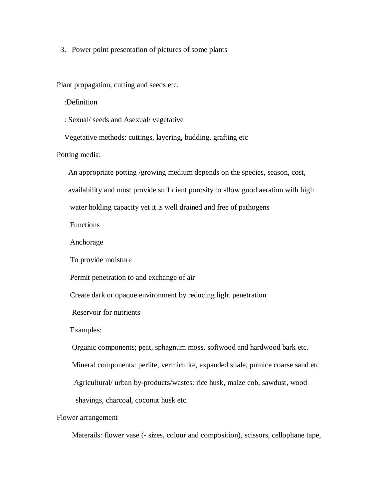3. Power point presentation of pictures of some plants

Plant propagation, cutting and seeds etc.

:Definition

: Sexual/ seeds and Asexual/ vegetative

Vegetative methods: cuttings, layering, budding, grafting etc

Potting media:

An appropriate potting /growing medium depends on the species, season, cost,

availability and must provide sufficient porosity to allow good aeration with high

water holding capacity yet it is well drained and free of pathogens

Functions

Anchorage

To provide moisture

Permit penetration to and exchange of air

Create dark or opaque environment by reducing light penetration

Reservoir for nutrients

Examples:

Organic components; peat, sphagnum moss, softwood and hardwood bark etc.

Mineral components: perlite, vermiculite, expanded shale, pumice coarse sand etc

Agricultural/ urban by-products/wastes: rice husk, maize cob, sawdust, wood

shavings, charcoal, coconut husk etc.

Flower arrangement

Materails: flower vase (- sizes, colour and composition), scissors, cellophane tape,